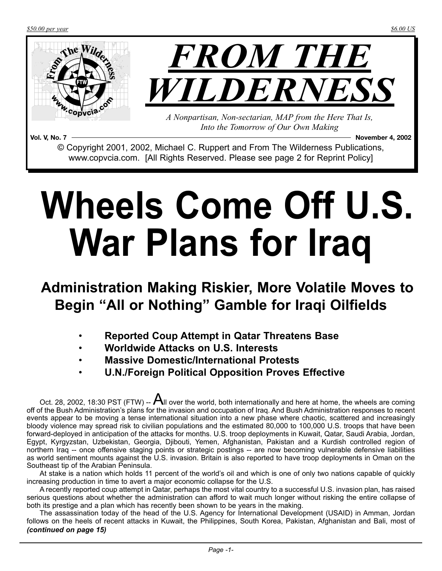*\$50.00 per year \$6.00 US*



**Vol. V, No. 7 November 4, 2002** © Copyright 2001, 2002, Michael C. Ruppert and From The Wilderness Publications, www.copvcia.com. [All Rights Reserved. Please see page 2 for Reprint Policy]

# **Wheels Come Off U.S. War Plans for Iraq**

## **Administration Making Riskier, More Volatile Moves to Begin "All or Nothing" Gamble for Iraqi Oilfields**

- **Reported Coup Attempt in Qatar Threatens Base**
- **Worldwide Attacks on U.S. Interests**
- **Massive Domestic/International Protests**
- **U.N./Foreign Political Opposition Proves Effective**

At stake is a nation which holds 11 percent of the world's oil and which is one of only two nations capable of quickly increasing production in time to avert a major economic collapse for the U.S.

A recently reported coup attempt in Qatar, perhaps the most vital country to a successful U.S. invasion plan, has raised serious questions about whether the administration can afford to wait much longer without risking the entire collapse of both its prestige and a plan which has recently been shown to be years in the making.

The assassination today of the head of the U.S. Agency for International Development (USAID) in Amman, Jordan follows on the heels of recent attacks in Kuwait, the Philippines, South Korea, Pakistan, Afghanistan and Bali, most of *(continued on page 15)*

Oct. 28, 2002, 18:30 PST (FTW) --  $A_{\parallel}$  over the world, both internationally and here at home, the wheels are coming off of the Bush Administration's plans for the invasion and occupation of Iraq. And Bush Administration responses to recent events appear to be moving a tense international situation into a new phase where chaotic, scattered and increasingly bloody violence may spread risk to civilian populations and the estimated 80,000 to 100,000 U.S. troops that have been forward-deployed in anticipation of the attacks for months. U.S. troop deployments in Kuwait, Qatar, Saudi Arabia, Jordan, Egypt, Kyrgyzstan, Uzbekistan, Georgia, Djibouti, Yemen, Afghanistan, Pakistan and a Kurdish controlled region of northern Iraq -- once offensive staging points or strategic postings -- are now becoming vulnerable defensive liabilities as world sentiment mounts against the U.S. invasion. Britain is also reported to have troop deployments in Oman on the Southeast tip of the Arabian Peninsula.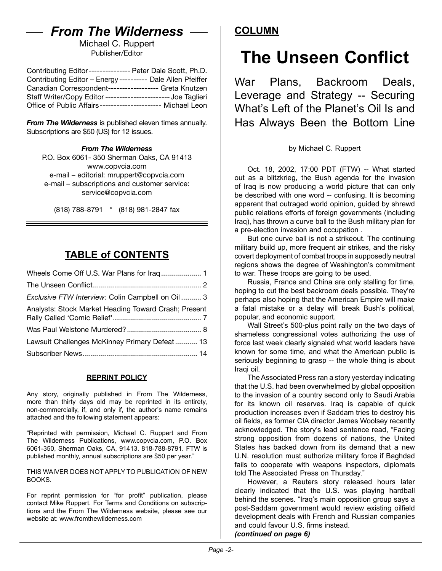### *From The Wilderness*

Michael C. Ruppert Publisher/Editor

| Contributing Editor---------------- Peter Dale Scott, Ph.D.   |  |
|---------------------------------------------------------------|--|
| Contributing Editor - Energy ---------- Dale Allen Pfeiffer   |  |
| Canadian Correspondent----------------- Greta Knutzen         |  |
| Staff Writer/Copy Editor ----------------------- Joe Taglieri |  |
| Office of Public Affairs---------------------- Michael Leon   |  |

*From The Wilderness* is published eleven times annually. Subscriptions are \$50 (US) for 12 issues.

#### *From The Wilderness*

P.O. Box 6061- 350 Sherman Oaks, CA 91413 [www.copvcia.com](http://www.copvcia.com) e-mail – editorial: mruppert@copvcia.com e-mail – subscriptions and customer service: service@copvcia.com

(818) 788-8791 \* (818) 981-2847 fax

#### **TABLE of CONTENTS**

| Exclusive FTW Interview: Colin Campbell on Oil  3    |  |
|------------------------------------------------------|--|
| Analysts: Stock Market Heading Toward Crash; Present |  |
|                                                      |  |
| Lawsuit Challenges McKinney Primary Defeat 13        |  |
|                                                      |  |

#### **REPRINT POLICY**

Any story, originally published in From The Wilderness, more than thirty days old may be reprinted in its entirety, non-commercially, if, and only if, the author's name remains attached and the following statement appears:

"Reprinted with permission, Michael C. Ruppert and From The Wilderness Publications, www.copvcia.com, P.O. Box 6061-350, Sherman Oaks, CA, 91413. 818-788-8791. FTW is published monthly, annual subscriptions are \$50 per year."

THIS WAIVER DOES NOT APPLY TO PUBLICATION OF NEW BOOKS.

For reprint permission for "for profit" publication, please contact Mike Ruppert. For Terms and Conditions on subscriptions and the From The Wilderness website, please see our website at: www.fromthewilderness.com

#### **COLUMN**

# **The Unseen Conflict**

War Plans, Backroom Deals, Leverage and Strategy -- Securing What's Left of the Planet's Oil Is and Has Always Been the Bottom Line

#### by Michael C. Ruppert

Oct. 18, 2002, 17:00 PDT (FTW) -- What started out as a blitzkrieg, the Bush agenda for the invasion of Iraq is now producing a world picture that can only be described with one word -- confusing. It is becoming apparent that outraged world opinion, guided by shrewd public relations efforts of foreign governments (including Iraq), has thrown a curve ball to the Bush military plan for a pre-election invasion and occupation .

But one curve ball is not a strikeout. The continuing military build up, more frequent air strikes, and the risky covert deployment of combat troops in supposedly neutral regions shows the degree of Washington's commitment to war. These troops are going to be used.

Russia, France and China are only stalling for time, hoping to cut the best backroom deals possible. They're perhaps also hoping that the American Empire will make a fatal mistake or a delay will break Bush's political, popular, and economic support.

Wall Street's 500-plus point rally on the two days of shameless congressional votes authorizing the use of force last week clearly signaled what world leaders have known for some time, and what the American public is seriously beginning to grasp -- the whole thing is about Iraqi oil.

The Associated Press ran a story yesterday indicating that the U.S. had been overwhelmed by global opposition to the invasion of a country second only to Saudi Arabia for its known oil reserves. Iraq is capable of quick production increases even if Saddam tries to destroy his oil fields, as former CIA director James Woolsey recently acknowledged. The story's lead sentence read, "Facing strong opposition from dozens of nations, the United States has backed down from its demand that a new U.N. resolution must authorize military force if Baghdad fails to cooperate with weapons inspectors, diplomats told The Associated Press on Thursday."

However, a Reuters story released hours later clearly indicated that the U.S. was playing hardball behind the scenes. "Iraq's main opposition group says a post-Saddam government would review existing oilfield development deals with French and Russian companies and could favour U.S. firms instead. *(continued on page 6)*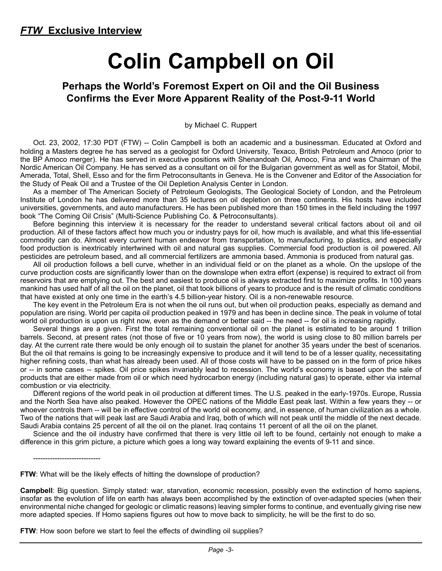# **Colin Campbell on Oil**

#### **Perhaps the World's Foremost Expert on Oil and the Oil Business Confirms the Ever More Apparent Reality of the Post-9-11 World**

by Michael C. Ruppert

Oct. 23, 2002, 17:30 PDT (FTW) -- Colin Campbell is both an academic and a businessman. Educated at Oxford and holding a Masters degree he has served as a geologist for Oxford University*,* Texaco, British Petroleum and Amoco (prior to the BP Amoco merger). He has served in executive positions with Shenandoah Oil*,* Amoco, Fina and was Chairman of the Nordic American Oil Company. He has served as a consultant on oil for the Bulgarian government as well as for Statoil, Mobil, Amerada, Total, Shell, Esso and for the firm Petroconsultants in Geneva. He is the Convener and Editor of the Association for the Study of Peak Oil and a Trustee of the Oil Depletion Analysis Center in London.

As a member of The American Society of Petroleum Geologists, The Geological Society of London, and the Petroleum Institute of London he has delivered more than 35 lectures on oil depletion on three continents. His hosts have included universities, governments, and auto manufacturers. He has been published more than 150 times in the field including the 1997 book "The Coming Oil Crisis" (Multi-Science Publishing Co. & Petroconsultants).

Before beginning this interview it is necessary for the reader to understand several critical factors about oil and oil production. All of these factors affect how much you or industry pays for oil, how much is available, and what this life-essential commodity can do. Almost every current human endeavor from transportation, to manufacturing, to plastics, and especially food production is inextricably intertwined with oil and natural gas supplies. Commercial food production is oil powered. All pesticides are petroleum based, and all commercial fertilizers are ammonia based. Ammonia is produced from natural gas.

All oil production follows a bell curve, whether in an individual field or on the planet as a whole. On the upslope of the curve production costs are significantly lower than on the downslope when extra effort (expense) is required to extract oil from reservoirs that are emptying out. The best and easiest to produce oil is always extracted first to maximize profits. In 100 years mankind has used half of all the oil on the planet, oil that took billions of years to produce and is the result of climatic conditions that have existed at only one time in the earth's 4.5 billion-year history. Oil is a non-renewable resource.

The key event in the Petroleum Era is not when the oil runs out, but when oil production peaks, especially as demand and population are rising. World per capita oil production peaked in 1979 and has been in decline since. The peak in volume of total world oil production is upon us right now, even as the demand or better said -- the need -- for oil is increasing rapidly.

Several things are a given. First the total remaining conventional oil on the planet is estimated to be around 1 trillion barrels. Second, at present rates (not those of five or 10 years from now), the world is using close to 80 million barrels per day. At the current rate there would be only enough oil to sustain the planet for another 35 years under the best of scenarios. But the oil that remains is going to be increasingly expensive to produce and it will tend to be of a lesser quality, necessitating higher refining costs, than what has already been used. All of those costs will have to be passed on in the form of price hikes or -- in some cases -- spikes. Oil price spikes invariably lead to recession. The world's economy is based upon the sale of products that are either made from oil or which need hydrocarbon energy (including natural gas) to operate, either via internal combustion or via electricity.

Different regions of the world peak in oil production at different times. The U.S. peaked in the early-1970s. Europe, Russia and the North Sea have also peaked. However the OPEC nations of the Middle East peak last. Within a few years they -- or whoever controls them -- will be in effective control of the world oil economy, and, in essence, of human civilization as a whole. Two of the nations that will peak last are Saudi Arabia and Iraq, both of which will not peak until the middle of the next decade. Saudi Arabia contains 25 percent of all the oil on the planet. Iraq contains 11 percent of all the oil on the planet.

Science and the oil industry have confirmed that there is very little oil left to be found, certainly not enough to make a difference in this grim picture, a picture which goes a long way toward explaining the events of 9-11 and since.

----------------------------

**FTW**: What will be the likely effects of hitting the downslope of production?

**Campbell**: Big question. Simply stated: war, starvation, economic recession, possibly even the extinction of homo sapiens, insofar as the evolution of life on earth has always been accomplished by the extinction of over-adapted species (when their environmental niche changed for geologic or climatic reasons) leaving simpler forms to continue, and eventually giving rise new more adapted species. If Homo sapiens figures out how to move back to simplicity, he will be the first to do so.

**FTW**: How soon before we start to feel the effects of dwindling oil supplies?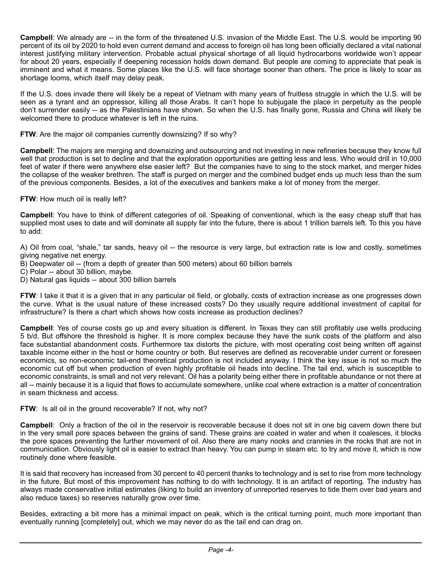**Campbell**: We already are -- in the form of the threatened U.S. invasion of the Middle East. The U.S. would be importing 90 percent of its oil by 2020 to hold even current demand and access to foreign oil has long been officially declared a vital national interest justifying military intervention. Probable actual physical shortage of all liquid hydrocarbons worldwide won't appear for about 20 years, especially if deepening recession holds down demand. But people are coming to appreciate that peak is imminent and what it means. Some places like the U.S. will face shortage sooner than others. The price is likely to soar as shortage looms, which itself may delay peak.

If the U.S. does invade there will likely be a repeat of Vietnam with many years of fruitless struggle in which the U.S. will be seen as a tyrant and an oppressor, killing all those Arabs. It can't hope to subjugate the place in perpetuity as the people don't surrender easily -- as the Palestinians have shown. So when the U.S. has finally gone, Russia and China will likely be welcomed there to produce whatever is left in the ruins.

#### FTW: Are the major oil companies currently downsizing? If so why?

**Campbell**: The majors are merging and downsizing and outsourcing and not investing in new refineries because they know full well that production is set to decline and that the exploration opportunities are getting less and less. Who would drill in 10,000 feet of water if there were anywhere else easier left? But the companies have to sing to the stock market, and merger hides the collapse of the weaker brethren. The staff is purged on merger and the combined budget ends up much less than the sum of the previous components. Besides, a lot of the executives and bankers make a lot of money from the merger.

#### **FTW**: How much oil is really left?

**Campbell**: You have to think of different categories of oil. Speaking of conventional, which is the easy cheap stuff that has supplied most uses to date and will dominate all supply far into the future, there is about 1 trillion barrels left. To this you have to add:

A) Oil from coal, "shale," tar sands, heavy oil -- the resource is very large, but extraction rate is low and costly, sometimes giving negative net energy.

- B) Deepwater oil -- (from a depth of greater than 500 meters) about 60 billion barrels
- C) Polar -- about 30 billion, maybe.
- D) Natural gas liquids -- about 300 billion barrels

**FTW**: I take it that it is a given that in any particular oil field, or globally, costs of extraction increase as one progresses down the curve. What is the usual nature of these increased costs? Do they usually require additional investment of capital for infrastructure? Is there a chart which shows how costs increase as production declines?

**Campbell**: Yes of course costs go up and every situation is different. In Texas they can still profitably use wells producing 5 b/d. But offshore the threshold is higher. It is more complex because they have the sunk costs of the platform and also face substantial abandonment costs. Furthermore tax distorts the picture, with most operating cost being written off against taxable income either in the host or home country or both. But reserves are defined as recoverable under current or foreseen economics, so non-economic tail-end theoretical production is not included anyway. I think the key issue is not so much the economic cut off but when production of even highly profitable oil heads into decline. The tail end, which is susceptible to economic constraints, is small and not very relevant. Oil has a polarity being either there in profitable abundance or not there at all -- mainly because it is a liquid that flows to accumulate somewhere, unlike coal where extraction is a matter of concentration in seam thickness and access.

**FTW:** Is all oil in the ground recoverable? If not, why not?

**Campbell**: Only a fraction of the oil in the reservoir is recoverable because it does not sit in one big cavern down there but in the very small pore spaces between the grains of sand. These grains are coated in water and when it coalesces, it blocks the pore spaces preventing the further movement of oil. Also there are many nooks and crannies in the rocks that are not in communication. Obviously light oil is easier to extract than heavy. You can pump in steam etc. to try and move it, which is now routinely done where feasible.

It is said that recovery has increased from 30 percent to 40 percent thanks to technology and is set to rise from more technology in the future. But most of this improvement has nothing to do with technology. It is an artifact of reporting. The industry has always made conservative initial estimates (liking to build an inventory of unreported reserves to tide them over bad years and also reduce taxes) so reserves naturally grow over time.

Besides, extracting a bit more has a minimal impact on peak, which is the critical turning point, much more important than eventually running [completely] out, which we may never do as the tail end can drag on.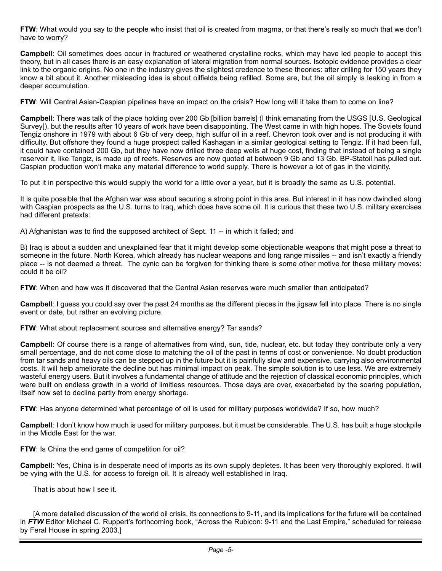**FTW**: What would you say to the people who insist that oil is created from magma, or that there's really so much that we don't have to worry?

**Campbell**: Oil sometimes does occur in fractured or weathered crystalline rocks, which may have led people to accept this theory, but in all cases there is an easy explanation of lateral migration from normal sources. Isotopic evidence provides a clear link to the organic origins. No one in the industry gives the slightest credence to these theories: after drilling for 150 years they know a bit about it. Another misleading idea is about oilfields being refilled. Some are, but the oil simply is leaking in from a deeper accumulation.

**FTW:** Will Central Asian-Caspian pipelines have an impact on the crisis? How long will it take them to come on line?

**Campbell**: There was talk of the place holding over 200 Gb [billion barrels] (I think emanating from the USGS [U.S. Geological Survey]), but the results after 10 years of work have been disappointing. The West came in with high hopes. The Soviets found Tengiz onshore in 1979 with about 6 Gb of very deep, high sulfur oil in a reef. Chevron took over and is not producing it with difficulty. But offshore they found a huge prospect called Kashagan in a similar geological setting to Tengiz. If it had been full, it could have contained 200 Gb, but they have now drilled three deep wells at huge cost, finding that instead of being a single reservoir it, like Tengiz, is made up of reefs. Reserves are now quoted at between 9 Gb and 13 Gb. BP-Statoil has pulled out. Caspian production won't make any material difference to world supply. There is however a lot of gas in the vicinity.

To put it in perspective this would supply the world for a little over a year, but it is broadly the same as U.S. potential.

It is quite possible that the Afghan war was about securing a strong point in this area. But interest in it has now dwindled along with Caspian prospects as the U.S. turns to Iraq, which does have some oil. It is curious that these two U.S. military exercises had different pretexts:

A) Afghanistan was to find the supposed architect of Sept. 11 -- in which it failed; and

B) Iraq is about a sudden and unexplained fear that it might develop some objectionable weapons that might pose a threat to someone in the future. North Korea, which already has nuclear weapons and long range missiles -- and isn't exactly a friendly place -- is not deemed a threat. The cynic can be forgiven for thinking there is some other motive for these military moves: could it be oil?

FTW: When and how was it discovered that the Central Asian reserves were much smaller than anticipated?

**Campbell**: I guess you could say over the past 24 months as the different pieces in the jigsaw fell into place. There is no single event or date, but rather an evolving picture.

**FTW**: What about replacement sources and alternative energy? Tar sands?

**Campbell**: Of course there is a range of alternatives from wind, sun, tide, nuclear, etc. but today they contribute only a very small percentage, and do not come close to matching the oil of the past in terms of cost or convenience. No doubt production from tar sands and heavy oils can be stepped up in the future but it is painfully slow and expensive, carrying also environmental costs. It will help ameliorate the decline but has minimal impact on peak. The simple solution is to use less. We are extremely wasteful energy users. But it involves a fundamental change of attitude and the rejection of classical economic principles, which were built on endless growth in a world of limitless resources. Those days are over, exacerbated by the soaring population, itself now set to decline partly from energy shortage.

**FTW**: Has anyone determined what percentage of oil is used for military purposes worldwide? If so, how much?

**Campbell**: I don't know how much is used for military purposes, but it must be considerable. The U.S. has built a huge stockpile in the Middle East for the war.

**FTW**: Is China the end game of competition for oil?

**Campbell**: Yes, China is in desperate need of imports as its own supply depletes. It has been very thoroughly explored. It will be vying with the U.S. for access to foreign oil. It is already well established in Iraq.

That is about how I see it.

[A more detailed discussion of the world oil crisis, its connections to 9-11, and its implications for the future will be contained in *FTW* Editor Michael C. Ruppert's forthcoming book, "Across the Rubicon: 9-11 and the Last Empire," scheduled for release by Feral House in spring 2003.]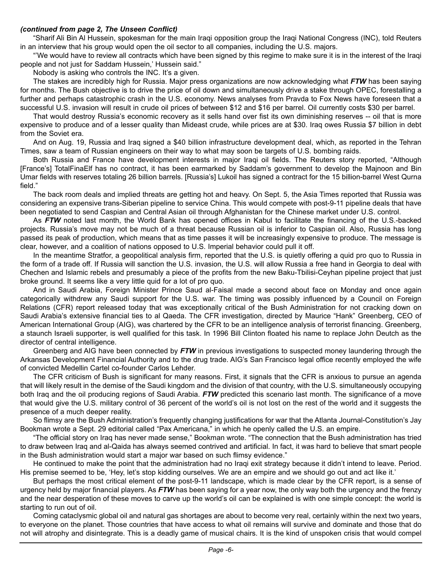#### *(continued from page 2, The Unseen Conflict)*

"Sharif Ali Bin Al Hussein, spokesman for the main Iraqi opposition group the Iraqi National Congress (INC), told Reuters in an interview that his group would open the oil sector to all companies, including the U.S. majors.

"'We would have to review all contracts which have been signed by this regime to make sure it is in the interest of the Iraqi people and not just for Saddam Hussein,' Hussein said."

Nobody is asking who controls the INC. It's a given.

The stakes are incredibly high for Russia. Major press organizations are now acknowledging what *FTW* has been saying for months. The Bush objective is to drive the price of oil down and simultaneously drive a stake through OPEC, forestalling a further and perhaps catastrophic crash in the U.S. economy. News analyses from Pravda to Fox News have foreseen that a successful U.S. invasion will result in crude oil prices of between \$12 and \$16 per barrel. Oil currently costs \$30 per barrel.

That would destroy Russia's economic recovery as it sells hand over fist its own diminishing reserves -- oil that is more expensive to produce and of a lesser quality than Mideast crude, while prices are at \$30. Iraq owes Russia \$7 billion in debt from the Soviet era.

And on Aug. 19, Russia and Iraq signed a \$40 billion infrastructure development deal, which, as reported in the Tehran Times, saw a team of Russian engineers on their way to what may soon be targets of U.S. bombing raids.

Both Russia and France have development interests in major Iraqi oil fields. The Reuters story reported, "Although [France's] TotalFinaElf has no contract, it has been earmarked by Saddam's government to develop the Majnoon and Bin Umar fields with reserves totaling 26 billion barrels. [Russia's] Lukoil has signed a contract for the 15 billion-barrel West Qurna field."

The back room deals and implied threats are getting hot and heavy. On Sept. 5, the Asia Times reported that Russia was considering an expensive trans-Siberian pipeline to service China. This would compete with post-9-11 pipeline deals that have been negotiated to send Caspian and Central Asian oil through Afghanistan for the Chinese market under U.S. control.

As *FTW* noted last month, the World Bank has opened offices in Kabul to facilitate the financing of the U.S.-backed projects. Russia's move may not be much of a threat because Russian oil is inferior to Caspian oil. Also, Russia has long passed its peak of production, which means that as time passes it will be increasingly expensive to produce. The message is clear, however, and a coalition of nations opposed to U.S. Imperial behavior could pull it off.

In the meantime Stratfor, a geopolitical analysis firm, reported that the U.S. is quietly offering a quid pro quo to Russia in the form of a trade off. If Russia will sanction the U.S. invasion, the U.S. will allow Russia a free hand in Georgia to deal with Chechen and Islamic rebels and presumably a piece of the profits from the new Baku-Tbilisi-Ceyhan pipeline project that just broke ground. It seems like a very little quid for a lot of pro quo.

And in Saudi Arabia, Foreign Minister Prince Saud al-Faisal made a second about face on Monday and once again categorically withdrew any Saudi support for the U.S. war. The timing was possibly influenced by a Council on Foreign Relations (CFR) report released today that was exceptionally critical of the Bush Administration for not cracking down on Saudi Arabia's extensive financial ties to al Qaeda. The CFR investigation, directed by Maurice "Hank" Greenberg, CEO of American International Group (AIG), was chartered by the CFR to be an intelligence analysis of terrorist financing. Greenberg, a staunch Israeli supporter, is well qualified for this task. In 1996 Bill Clinton floated his name to replace John Deutch as the director of central intelligence.

Greenberg and AIG have been connected by *FTW* in previous investigations to suspected money laundering through the Arkansas Development Financial Authority and to the drug trade. AIG's San Francisco legal office recently employed the wife of convicted Medellin Cartel co-founder Carlos Lehder.

The CFR criticism of Bush is significant for many reasons. First, it signals that the CFR is anxious to pursue an agenda that will likely result in the demise of the Saudi kingdom and the division of that country, with the U.S. simultaneously occupying both Iraq and the oil producing regions of Saudi Arabia. *FTW* predicted this scenario last month. The significance of a move that would give the U.S. military control of 36 percent of the world's oil is not lost on the rest of the world and it suggests the presence of a much deeper reality.

So flimsy are the Bush Administration's frequently changing justifications for war that the Atlanta Journal-Constitution's Jay Bookman wrote a Sept. 29 editorial called "Pax Americana," in which he openly called the U.S. an empire.

"The official story on Iraq has never made sense," Bookman wrote. "The connection that the Bush administration has tried to draw between Iraq and al-Qaida has always seemed contrived and artificial. In fact, it was hard to believe that smart people in the Bush administration would start a major war based on such flimsy evidence."

He continued to make the point that the administration had no Iraqi exit strategy because it didn't intend to leave. Period. His premise seemed to be, 'Hey, let's stop kidding ourselves. We are an empire and we should go out and act like it.'

But perhaps the most critical element of the post-9-11 landscape, which is made clear by the CFR report, is a sense of urgency held by major financial players. As *FTW* has been saying for a year now, the only way both the urgency and the frenzy and the near desperation of these moves to carve up the world's oil can be explained is with one simple concept: the world is starting to run out of oil.

Coming cataclysmic global oil and natural gas shortages are about to become very real, certainly within the next two years, to everyone on the planet. Those countries that have access to what oil remains will survive and dominate and those that do not will atrophy and disintegrate. This is a deadly game of musical chairs. It is the kind of unspoken crisis that would compel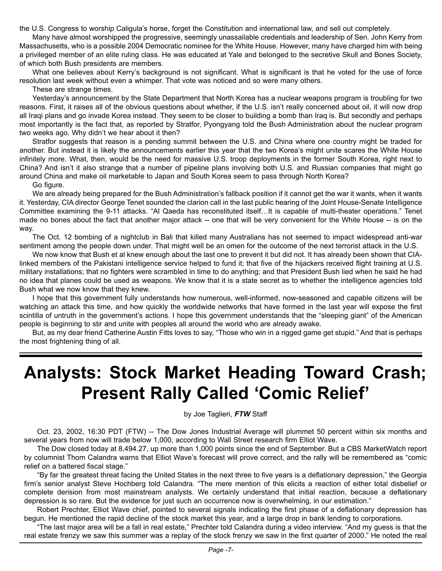the U.S. Congress to worship Caligula's horse, forget the Constitution and international law, and sell out completely.

Many have almost worshipped the progressive, seemingly unassailable credentials and leadership of Sen. John Kerry from Massachusetts, who is a possible 2004 Democratic nominee for the White House. However, many have charged him with being a privileged member of an elite ruling class. He was educated at Yale and belonged to the secretive Skull and Bones Society, of which both Bush presidents are members.

What one believes about Kerry's background is not significant. What is significant is that he voted for the use of force resolution last week without even a whimper. That vote was noticed and so were many others.

These are strange times.

Yesterday's announcement by the State Department that North Korea has a nuclear weapons program is troubling for two reasons. First, it raises all of the obvious questions about whether, if the U.S. isn't really concerned about oil, it will now drop all Iraqi plans and go invade Korea instead. They seem to be closer to building a bomb than Iraq is. But secondly and perhaps most importantly is the fact that, as reported by Stratfor, Pyongyang told the Bush Administration about the nuclear program two weeks ago. Why didn't we hear about it then?

Stratfor suggests that reason is a pending summit between the U.S. and China where one country might be traded for another. But instead it is likely the announcements earlier this year that the two Korea's might unite scares the White House infinitely more. What, then, would be the need for massive U.S. troop deployments in the former South Korea, right next to China? And isn't it also strange that a number of pipeline plans involving both U.S. and Russian companies that might go around China and make oil marketable to Japan and South Korea seem to pass through North Korea?

Go figure.

We are already being prepared for the Bush Administration's fallback position if it cannot get the war it wants, when it wants it. Yesterday, CIA director George Tenet sounded the clarion call in the last public hearing of the Joint House-Senate Intelligence Committee examining the 9-11 attacks. "Al Qaeda has reconstituted itself…It is capable of multi-theater operations." Tenet made no bones about the fact that another major attack -- one that will be very convenient for the White House -- is on the way.

The Oct. 12 bombing of a nightclub in Bali that killed many Australians has not seemed to impact widespread anti-war sentiment among the people down under. That might well be an omen for the outcome of the next terrorist attack in the U.S.

We now know that Bush et al knew enough about the last one to prevent it but did not. It has already been shown that CIAlinked members of the Pakistani intelligence service helped to fund it; that five of the hijackers received flight training at U.S. military installations; that no fighters were scrambled in time to do anything; and that President Bush lied when he said he had no idea that planes could be used as weapons. We know that it is a state secret as to whether the intelligence agencies told Bush what we now know that they knew.

I hope that this government fully understands how numerous, well-informed, now-seasoned and capable citizens will be watching an attack this time, and how quickly the worldwide networks that have formed in the last year will expose the first scintilla of untruth in the government's actions. I hope this government understands that the "sleeping giant" of the American people is beginning to stir and unite with peoples all around the world who are already awake.

But, as my dear friend Catherine Austin Fitts loves to say, "Those who win in a rigged game get stupid." And that is perhaps the most frightening thing of all.

# **Analysts: Stock Market Heading Toward Crash; Present Rally Called 'Comic Relief'**

by Joe Taglieri, *FTW* Staff

Oct. 23, 2002, 16:30 PDT (FTW) -- The Dow Jones Industrial Average will plummet 50 percent within six months and several years from now will trade below 1,000, according to Wall Street research firm Elliot Wave.

The Dow closed today at 8,494.27, up more than 1,000 points since the end of September. But a CBS MarketWatch report by columnist Thom Calandra warns that Elliot Wave's forecast will prove correct, and the rally will be remembered as "comic relief on a battered fiscal stage."

"By far the greatest threat facing the United States in the next three to five years is a deflationary depression," the Georgia firm's senior analyst Steve Hochberg told Calandra. "The mere mention of this elicits a reaction of either total disbelief or complete derision from most mainstream analysts. We certainly understand that initial reaction, because a deflationary depression is so rare. But the evidence for just such an occurrence now is overwhelming, in our estimation."

Robert Prechter, Elliot Wave chief, pointed to several signals indicating the first phase of a deflationary depression has begun. He mentioned the rapid decline of the stock market this year, and a large drop in bank lending to corporations.

"The last major area will be a fall in real estate," Prechter told Calandra during a video interview. "And my guess is that the real estate frenzy we saw this summer was a replay of the stock frenzy we saw in the first quarter of 2000." He noted the real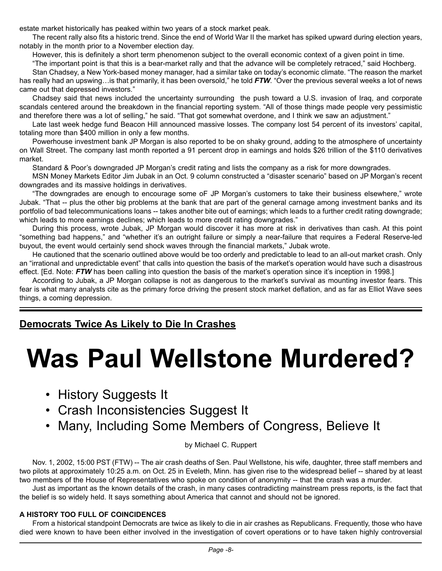estate market historically has peaked within two years of a stock market peak.

The recent rally also fits a historic trend. Since the end of World War II the market has spiked upward during election years, notably in the month prior to a November election day.

However, this is definitely a short term phenomenon subject to the overall economic context of a given point in time.

"The important point is that this is a bear-market rally and that the advance will be completely retraced," said Hochberg.

Stan Chadsey, a New York-based money manager, had a similar take on today's economic climate. "The reason the market has really had an upswing…is that primarily, it has been oversold," he told *FTW*. "Over the previous several weeks a lot of news came out that depressed investors."

Chadsey said that news included the uncertainty surrounding the push toward a U.S. invasion of Iraq, and corporate scandals centered around the breakdown in the financial reporting system. "All of those things made people very pessimistic and therefore there was a lot of selling," he said. "That got somewhat overdone, and I think we saw an adjustment."

Late last week hedge fund Beacon Hill announced massive losses. The company lost 54 percent of its investors' capital, totaling more than \$400 million in only a few months.

Powerhouse investment bank JP Morgan is also reported to be on shaky ground, adding to the atmosphere of uncertainty on Wall Street. The company last month reported a 91 percent drop in earnings and holds \$26 trillion of the \$110 derivatives market.

Standard & Poor's downgraded JP Morgan's credit rating and lists the company as a risk for more downgrades.

MSN Money Markets Editor Jim Jubak in an Oct. 9 column constructed a "disaster scenario" based on JP Morgan's recent downgrades and its massive holdings in derivatives.

"The downgrades are enough to encourage some oF JP Morgan's customers to take their business elsewhere," wrote Jubak. "That -- plus the other big problems at the bank that are part of the general carnage among investment banks and its portfolio of bad telecommunications loans -- takes another bite out of earnings; which leads to a further credit rating downgrade; which leads to more earnings declines; which leads to more credit rating downgrades."

During this process, wrote Jubak, JP Morgan would discover it has more at risk in derivatives than cash. At this point "something bad happens," and "whether it's an outright failure or simply a near-failure that requires a Federal Reserve-led buyout, the event would certainly send shock waves through the financial markets," Jubak wrote.

He cautioned that the scenario outlined above would be too orderly and predictable to lead to an all-out market crash. Only an "irrational and unpredictable event" that calls into question the basis of the market's operation would have such a disastrous effect. [Ed. Note: *FTW* has been calling into question the basis of the market's operation since it's inception in 1998.]

According to Jubak, a JP Morgan collapse is not as dangerous to the market's survival as mounting investor fears. This fear is what many analysts cite as the primary force driving the present stock market deflation, and as far as Elliot Wave sees things, a coming depression.

#### **Democrats Twice As Likely to Die In Crashes**

# **Was Paul Wellstone Murdered?**

- History Suggests It
- Crash Inconsistencies Suggest It
- Many, Including Some Members of Congress, Believe It

by Michael C. Ruppert

Nov. 1, 2002, 15:00 PST (FTW) -- The air crash deaths of Sen. Paul Wellstone, his wife, daughter, three staff members and two pilots at approximately 10:25 a.m. on Oct. 25 in Eveleth, Minn. has given rise to the widespread belief -- shared by at least two members of the House of Representatives who spoke on condition of anonymity -- that the crash was a murder.

Just as important as the known details of the crash, in many cases contradicting mainstream press reports, is the fact that the belief is so widely held. It says something about America that cannot and should not be ignored.

#### **A HISTORY TOO FULL OF COINCIDENCES**

From a historical standpoint Democrats are twice as likely to die in air crashes as Republicans. Frequently, those who have died were known to have been either involved in the investigation of covert operations or to have taken highly controversial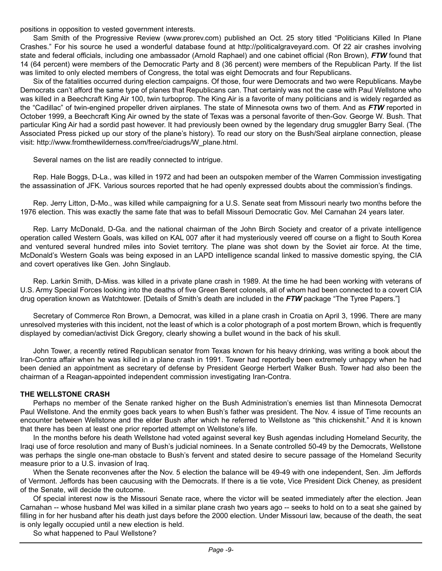positions in opposition to vested government interests.

Sam Smith of the Progressive Review (www.prorev.com) published an Oct. 25 story titled "Politicians Killed In Plane Crashes." For his source he used a wonderful database found at http://politicalgraveyard.com. Of 22 air crashes involving state and federal officials, including one ambassador (Arnold Raphael) and one cabinet official (Ron Brown), *FTW* found that 14 (64 percent) were members of the Democratic Party and 8 (36 percent) were members of the Republican Party. If the list was limited to only elected members of Congress, the total was eight Democrats and four Republicans.

Six of the fatalities occurred during election campaigns. Of those, four were Democrats and two were Republicans. Maybe Democrats can't afford the same type of planes that Republicans can. That certainly was not the case with Paul Wellstone who was killed in a Beechcraft King Air 100, twin turboprop. The King Air is a favorite of many politicians and is widely regarded as the "Cadillac" of twin-engined propeller driven airplanes. The state of Minnesota owns two of them. And as *FTW* reported in October 1999, a Beechcraft King Air owned by the state of Texas was a personal favorite of then-Gov. George W. Bush. That particular King Air had a sordid past however. It had previously been owned by the legendary drug smuggler Barry Seal. (The Associated Press picked up our story of the plane's history). To read our story on the Bush/Seal airplane connection, please visit: [http://www.fromthewilderness.com/free/ciadrugs/W\\_plane.html.](http://www.fromthewilderness.com/free/ciadrugs/W_plane.html)

Several names on the list are readily connected to intrigue.

Rep. Hale Boggs, D-La., was killed in 1972 and had been an outspoken member of the Warren Commission investigating the assassination of JFK. Various sources reported that he had openly expressed doubts about the commission's findings.

Rep. Jerry Litton, D-Mo., was killed while campaigning for a U.S. Senate seat from Missouri nearly two months before the 1976 election. This was exactly the same fate that was to befall Missouri Democratic Gov. Mel Carnahan 24 years later.

Rep. Larry McDonald, D-Ga. and the national chairman of the John Birch Society and creator of a private intelligence operation called Western Goals, was killed on KAL 007 after it had mysteriously veered off course on a flight to South Korea and ventured several hundred miles into Soviet territory. The plane was shot down by the Soviet air force. At the time, McDonald's Western Goals was being exposed in an LAPD intelligence scandal linked to massive domestic spying, the CIA and covert operatives like Gen. John Singlaub.

Rep. Larkin Smith, D-Miss. was killed in a private plane crash in 1989. At the time he had been working with veterans of U.S. Army Special Forces looking into the deaths of five Green Beret colonels, all of whom had been connected to a covert CIA drug operation known as Watchtower. [Details of Smith's death are included in the *FTW* package "The Tyree Papers."]

Secretary of Commerce Ron Brown, a Democrat, was killed in a plane crash in Croatia on April 3, 1996. There are many unresolved mysteries with this incident, not the least of which is a color photograph of a post mortem Brown, which is frequently displayed by comedian/activist Dick Gregory, clearly showing a bullet wound in the back of his skull.

John Tower, a recently retired Republican senator from Texas known for his heavy drinking, was writing a book about the Iran-Contra affair when he was killed in a plane crash in 1991. Tower had reportedly been extremely unhappy when he had been denied an appointment as secretary of defense by President George Herbert Walker Bush. Tower had also been the chairman of a Reagan-appointed independent commission investigating Iran-Contra.

#### **THE WELLSTONE CRASH**

Perhaps no member of the Senate ranked higher on the Bush Administration's enemies list than Minnesota Democrat Paul Wellstone. And the enmity goes back years to when Bush's father was president. The Nov. 4 issue of Time recounts an encounter between Wellstone and the elder Bush after which he referred to Wellstone as "this chickenshit." And it is known that there has been at least one prior reported attempt on Wellstone's life.

In the months before his death Wellstone had voted against several key Bush agendas including Homeland Security, the Iraqi use of force resolution and many of Bush's judicial nominees. In a Senate controlled 50-49 by the Democrats, Wellstone was perhaps the single one-man obstacle to Bush's fervent and stated desire to secure passage of the Homeland Security measure prior to a U.S. invasion of Iraq.

When the Senate reconvenes after the Nov. 5 election the balance will be 49-49 with one independent, Sen. Jim Jeffords of Vermont. Jeffords has been caucusing with the Democrats. If there is a tie vote, Vice President Dick Cheney, as president of the Senate, will decide the outcome.

Of special interest now is the Missouri Senate race, where the victor will be seated immediately after the election. Jean Carnahan -- whose husband Mel was killed in a similar plane crash two years ago -- seeks to hold on to a seat she gained by filling in for her husband after his death just days before the 2000 election. Under Missouri law, because of the death, the seat is only legally occupied until a new election is held.

So what happened to Paul Wellstone?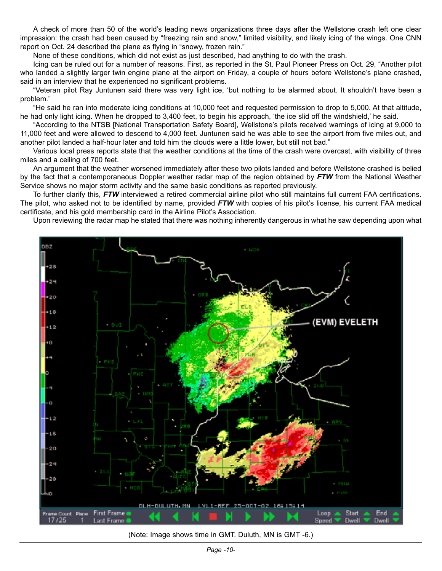A check of more than 50 of the world's leading news organizations three days after the Wellstone crash left one clear impression: the crash had been caused by "freezing rain and snow," limited visibility, and likely icing of the wings. One CNN report on Oct. 24 described the plane as flying in "snowy, frozen rain."

None of these conditions, which did not exist as just described, had anything to do with the crash.

Icing can be ruled out for a number of reasons. First, as reported in the St. Paul Pioneer Press on Oct. 29, "Another pilot who landed a slightly larger twin engine plane at the airport on Friday, a couple of hours before Wellstone's plane crashed, said in an interview that he experienced no significant problems.

"Veteran pilot Ray Juntunen said there was very light ice, 'but nothing to be alarmed about. It shouldn't have been a problem.'

"He said he ran into moderate icing conditions at 10,000 feet and requested permission to drop to 5,000. At that altitude, he had only light icing. When he dropped to 3,400 feet, to begin his approach, 'the ice slid off the windshield,' he said.

"According to the NTSB [National Transportation Safety Board], Wellstone's pilots received warnings of icing at 9,000 to 11,000 feet and were allowed to descend to 4,000 feet. Juntunen said he was able to see the airport from five miles out, and another pilot landed a half-hour later and told him the clouds were a little lower, but still not bad."

Various local press reports state that the weather conditions at the time of the crash were overcast, with visibility of three miles and a ceiling of 700 feet.

An argument that the weather worsened immediately after these two pilots landed and before Wellstone crashed is belied by the fact that a contemporaneous Doppler weather radar map of the region obtained by *FTW* from the National Weather Service shows no major storm activity and the same basic conditions as reported previously.

To further clarify this, *FTW* interviewed a retired commercial airline pilot who still maintains full current FAA certifications. The pilot, who asked not to be identified by name, provided *FTW* with copies of his pilot's license, his current FAA medical certificate, and his gold membership card in the Airline Pilot's Association.

Upon reviewing the radar map he stated that there was nothing inherently dangerous in what he saw depending upon what



(Note: Image shows time in GMT. Duluth, MN is GMT -6.)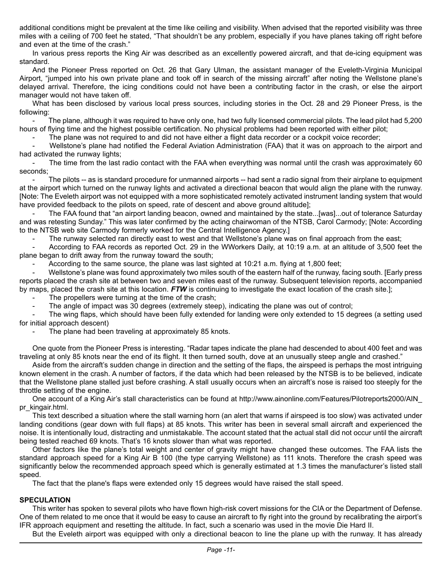additional conditions might be prevalent at the time like ceiling and visibility. When advised that the reported visibility was three miles with a ceiling of 700 feet he stated, "That shouldn't be any problem, especially if you have planes taking off right before and even at the time of the crash."

In various press reports the King Air was described as an excellently powered aircraft, and that de-icing equipment was standard.

And the Pioneer Press reported on Oct. 26 that Gary Ulman, the assistant manager of the Eveleth-Virginia Municipal Airport, "jumped into his own private plane and took off in search of the missing aircraft" after noting the Wellstone plane's delayed arrival. Therefore, the icing conditions could not have been a contributing factor in the crash, or else the airport manager would not have taken off.

What has been disclosed by various local press sources, including stories in the Oct. 28 and 29 Pioneer Press, is the following:

The plane, although it was required to have only one, had two fully licensed commercial pilots. The lead pilot had 5,200 hours of flying time and the highest possible certification. No physical problems had been reported with either pilot;

The plane was not required to and did not have either a flight data recorder or a cockpit voice recorder;

- Wellstone's plane had notified the Federal Aviation Administration (FAA) that it was on approach to the airport and had activated the runway lights;

The time from the last radio contact with the FAA when everything was normal until the crash was approximately 60 seconds;

The pilots -- as is standard procedure for unmanned airports -- had sent a radio signal from their airplane to equipment at the airport which turned on the runway lights and activated a directional beacon that would align the plane with the runway. [Note: The Eveleth airport was not equipped with a more sophisticated remotely activated instrument landing system that would have provided feedback to the pilots on speed, rate of descent and above ground altitude];

The FAA found that "an airport landing beacon, owned and maintained by the state...[was]...out of tolerance Saturday and was retesting Sunday." This was later confirmed by the acting chairwoman of the NTSB, Carol Carmody; [Note: According to the NTSB web site Carmody formerly worked for the Central Intelligence Agency.]

The runway selected ran directly east to west and that Wellstone's plane was on final approach from the east;

- According to FAA records as reported Oct. 29 in the WWorkers Daily, at 10:19 a.m. at an altitude of 3,500 feet the plane began to drift away from the runway toward the south;

According to the same source, the plane was last sighted at 10:21 a.m. flying at 1,800 feet;

Wellstone's plane was found approximately two miles south of the eastern half of the runway, facing south. [Early press reports placed the crash site at between two and seven miles east of the runway. Subsequent television reports, accompanied by maps, placed the crash site at this location. *FTW* is continuing to investigate the exact location of the crash site.];

The propellers were turning at the time of the crash;

The angle of impact was 30 degrees (extremely steep), indicating the plane was out of control;

The wing flaps, which should have been fully extended for landing were only extended to 15 degrees (a setting used for initial approach descent)

The plane had been traveling at approximately 85 knots.

One quote from the Pioneer Press is interesting. "Radar tapes indicate the plane had descended to about 400 feet and was traveling at only 85 knots near the end of its flight. It then turned south, dove at an unusually steep angle and crashed."

Aside from the aircraft's sudden change in direction and the setting of the flaps, the airspeed is perhaps the most intriguing known element in the crash. A number of factors, if the data which had been released by the NTSB is to be believed, indicate that the Wellstone plane stalled just before crashing. A stall usually occurs when an aircraft's nose is raised too steeply for the throttle setting of the engine.

One account of a King Air's stall characteristics can be found at [http://www.ainonline.com/Features/Pilotreports2000/AIN\\_](http://www.ainonline.com/Features/Pilotreports2000/AIN_pr_kingair.html) pr\_kingair.html.

This text described a situation where the stall warning horn (an alert that warns if airspeed is too slow) was activated under landing conditions (gear down with full flaps) at 85 knots. This writer has been in several small aircraft and experienced the noise. It is intentionally loud, distracting and unmistakable. The account stated that the actual stall did not occur until the aircraft being tested reached 69 knots. That's 16 knots slower than what was reported.

Other factors like the plane's total weight and center of gravity might have changed these outcomes. The FAA lists the standard approach speed for a King Air B 100 (the type carrying Wellstone) as 111 knots. Therefore the crash speed was significantly below the recommended approach speed which is generally estimated at 1.3 times the manufacturer's listed stall speed.

The fact that the plane's flaps were extended only 15 degrees would have raised the stall speed.

#### **SPECULATION**

This writer has spoken to several pilots who have flown high-risk covert missions for the CIA or the Department of Defense. One of them related to me once that it would be easy to cause an aircraft to fly right into the ground by recalibrating the airport's IFR approach equipment and resetting the altitude. In fact, such a scenario was used in the movie Die Hard II.

But the Eveleth airport was equipped with only a directional beacon to line the plane up with the runway. It has already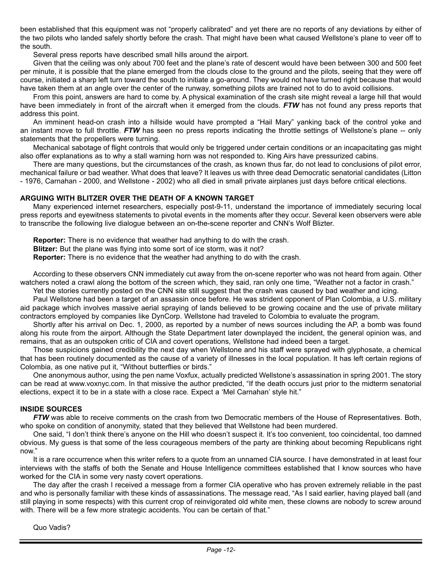been established that this equipment was not "properly calibrated" and yet there are no reports of any deviations by either of the two pilots who landed safely shortly before the crash. That might have been what caused Wellstone's plane to veer off to the south.

Several press reports have described small hills around the airport.

Given that the ceiling was only about 700 feet and the plane's rate of descent would have been between 300 and 500 feet per minute, it is possible that the plane emerged from the clouds close to the ground and the pilots, seeing that they were off course, initiated a sharp left turn toward the south to initiate a go-around. They would not have turned right because that would have taken them at an angle over the center of the runway, something pilots are trained not to do to avoid collisions.

From this point, answers are hard to come by. A physical examination of the crash site might reveal a large hill that would have been immediately in front of the aircraft when it emerged from the clouds. *FTW* has not found any press reports that address this point.

An imminent head-on crash into a hillside would have prompted a "Hail Mary" yanking back of the control yoke and an instant move to full throttle. *FTW* has seen no press reports indicating the throttle settings of Wellstone's plane -- only statements that the propellers were turning.

Mechanical sabotage of flight controls that would only be triggered under certain conditions or an incapacitating gas might also offer explanations as to why a stall warning horn was not responded to. King Airs have pressurized cabins.

There are many questions, but the circumstances of the crash, as known thus far, do not lead to conclusions of pilot error, mechanical failure or bad weather. What does that leave? It leaves us with three dead Democratic senatorial candidates (Litton - 1976, Carnahan - 2000, and Wellstone - 2002) who all died in small private airplanes just days before critical elections.

#### **ARGUING WITH BLITZER OVER THE DEATH OF A KNOWN TARGET**

Many experienced internet researchers, especially post-9-11, understand the importance of immediately securing local press reports and eyewitness statements to pivotal events in the moments after they occur. Several keen observers were able to transcribe the following live dialogue between an on-the-scene reporter and CNN's Wolf Blizter.

**Reporter:** There is no evidence that weather had anything to do with the crash.

**Blitzer:** But the plane was flying into some sort of ice storm, was it not?

**Reporter:** There is no evidence that the weather had anything to do with the crash.

According to these observers CNN immediately cut away from the on-scene reporter who was not heard from again. Other watchers noted a crawl along the bottom of the screen which, they said, ran only one time, "Weather not a factor in crash."

Yet the stories currently posted on the CNN site still suggest that the crash was caused by bad weather and icing.

Paul Wellstone had been a target of an assassin once before. He was strident opponent of Plan Colombia, a U.S. military aid package which involves massive aerial spraying of lands believed to be growing cocaine and the use of private military contractors employed by companies like DynCorp. Wellstone had traveled to Colombia to evaluate the program.

Shortly after his arrival on Dec. 1, 2000, as reported by a number of news sources including the AP, a bomb was found along his route from the airport. Although the State Department later downplayed the incident, the general opinion was, and remains, that as an outspoken critic of CIA and covert operations, Wellstone had indeed been a target.

Those suspicions gained credibility the next day when Wellstone and his staff were sprayed with glyphosate, a chemical that has been routinely documented as the cause of a variety of illnesses in the local population. It has left certain regions of Colombia, as one native put it, "Without butterflies or birds."

One anonymous author, using the pen name Voxfux, actually predicted Wellstone's assassination in spring 2001. The story can be read at www.voxnyc.com. In that missive the author predicted, "If the death occurs just prior to the midterm senatorial elections, expect it to be in a state with a close race. Expect a 'Mel Carnahan' style hit."

#### **INSIDE SOURCES**

*FTW* was able to receive comments on the crash from two Democratic members of the House of Representatives. Both, who spoke on condition of anonymity, stated that they believed that Wellstone had been murdered.

One said, "I don't think there's anyone on the Hill who doesn't suspect it. It's too convenient, too coincidental, too damned obvious. My guess is that some of the less courageous members of the party are thinking about becoming Republicans right now."

It is a rare occurrence when this writer refers to a quote from an unnamed CIA source. I have demonstrated in at least four interviews with the staffs of both the Senate and House Intelligence committees established that I know sources who have worked for the CIA in some very nasty covert operations.

The day after the crash I received a message from a former CIA operative who has proven extremely reliable in the past and who is personally familiar with these kinds of assassinations. The message read, "As I said earlier, having played ball (and still playing in some respects) with this current crop of reinvigorated old white men, these clowns are nobody to screw around with. There will be a few more strategic accidents. You can be certain of that."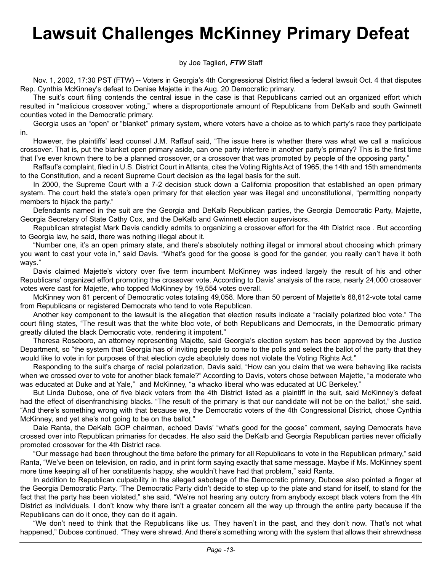# **Lawsuit Challenges McKinney Primary Defeat**

#### by Joe Taglieri, *FTW* Staff

Nov. 1, 2002, 17:30 PST (FTW) -- Voters in Georgia's 4th Congressional District filed a federal lawsuit Oct. 4 that disputes Rep. Cynthia McKinney's defeat to Denise Majette in the Aug. 20 Democratic primary.

The suit's court filing contends the central issue in the case is that Republicans carried out an organized effort which resulted in "malicious crossover voting," where a disproportionate amount of Republicans from DeKalb and south Gwinnett counties voted in the Democratic primary.

Georgia uses an "open" or "blanket" primary system, where voters have a choice as to which party's race they participate in.

However, the plaintiffs' lead counsel J.M. Raffauf said, "The issue here is whether there was what we call a malicious crossover. That is, put the blanket open primary aside, can one party interfere in another party's primary? This is the first time that I've ever known there to be a planned crossover, or a crossover that was promoted by people of the opposing party."

Raffauf's complaint, filed in U.S. District Court in Atlanta, cites the Voting Rights Act of 1965, the 14th and 15th amendments to the Constitution, and a recent Supreme Court decision as the legal basis for the suit.

In 2000, the Supreme Court with a 7-2 decision stuck down a California proposition that established an open primary system. The court held the state's open primary for that election year was illegal and unconstitutional, "permitting nonparty members to hijack the party."

Defendants named in the suit are the Georgia and DeKalb Republican parties, the Georgia Democratic Party, Majette, Georgia Secretary of State Cathy Cox, and the DeKalb and Gwinnett election supervisors.

Republican strategist Mark Davis candidly admits to organizing a crossover effort for the 4th District race . But according to Georgia law, he said, there was nothing illegal about it.

"Number one, it's an open primary state, and there's absolutely nothing illegal or immoral about choosing which primary you want to cast your vote in," said Davis. "What's good for the goose is good for the gander, you really can't have it both ways."

Davis claimed Majette's victory over five term incumbent McKinney was indeed largely the result of his and other Republicans' organized effort promoting the crossover vote. According to Davis' analysis of the race, nearly 24,000 crossover votes were cast for Majette, who topped McKinney by 19,554 votes overall.

McKinney won 61 percent of Democratic votes totaling 49,058. More than 50 percent of Majette's 68,612-vote total came from Republicans or registered Democrats who tend to vote Republican.

Another key component to the lawsuit is the allegation that election results indicate a "racially polarized bloc vote." The court filing states, "The result was that the white bloc vote, of both Republicans and Democrats, in the Democratic primary greatly diluted the black Democratic vote, rendering it impotent."

Theresa Roseboro, an attorney representing Majette, said Georgia's election system has been approved by the Justice Department, so "the system that Georgia has of inviting people to come to the polls and select the ballot of the party that they would like to vote in for purposes of that election cycle absolutely does not violate the Voting Rights Act."

Responding to the suit's charge of racial polarization, Davis said, "How can you claim that we were behaving like racists when we crossed over to vote for another black female?" According to Davis, voters chose between Majette, "a moderate who was educated at Duke and at Yale," and McKinney, "a whacko liberal who was educated at UC Berkeley."

But Linda Dubose, one of five black voters from the 4th District listed as a plaintiff in the suit, said McKinney's defeat had the effect of disenfranchising blacks. "The result of the primary is that our candidate will not be on the ballot," she said. "And there's something wrong with that because we, the Democratic voters of the 4th Congressional District, chose Cynthia McKinney, and yet she's not going to be on the ballot."

Dale Ranta, the DeKalb GOP chairman, echoed Davis' "what's good for the goose" comment, saying Democrats have crossed over into Republican primaries for decades. He also said the DeKalb and Georgia Republican parties never officially promoted crossover for the 4th District race.

"Our message had been throughout the time before the primary for all Republicans to vote in the Republican primary," said Ranta, "We've been on television, on radio, and in print form saying exactly that same message. Maybe if Ms. McKinney spent more time keeping all of her constituents happy, she wouldn't have had that problem," said Ranta.

In addition to Republican culpability in the alleged sabotage of the Democratic primary, Dubose also pointed a finger at the Georgia Democratic Party. "The Democratic Party didn't decide to step up to the plate and stand for itself, to stand for the fact that the party has been violated," she said. "We're not hearing any outcry from anybody except black voters from the 4th District as individuals. I don't know why there isn't a greater concern all the way up through the entire party because if the Republicans can do it once, they can do it again.

"We don't need to think that the Republicans like us. They haven't in the past, and they don't now. That's not what happened," Dubose continued. "They were shrewd. And there's something wrong with the system that allows their shrewdness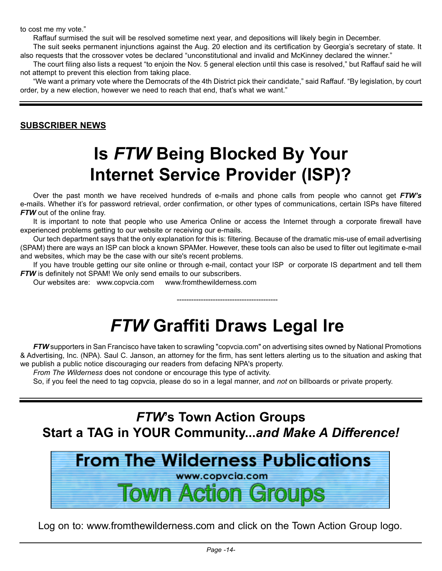to cost me my vote."

Raffauf surmised the suit will be resolved sometime next year, and depositions will likely begin in December.

The suit seeks permanent injunctions against the Aug. 20 election and its certification by Georgia's secretary of state. It also requests that the crossover votes be declared "unconstitutional and invalid and McKinney declared the winner."

The court filing also lists a request "to enjoin the Nov. 5 general election until this case is resolved," but Raffauf said he will not attempt to prevent this election from taking place.

"We want a primary vote where the Democrats of the 4th District pick their candidate," said Raffauf. "By legislation, by court order, by a new election, however we need to reach that end, that's what we want."

#### **SUBSCRIBER NEWS**

# **Is** *FTW* **Being Blocked By Your Internet Service Provider (ISP)?**

Over the past month we have received hundreds of e-mails and phone calls from people who cannot get *FTW's* e-mails. Whether it's for password retrieval, order confirmation, or other types of communications, certain ISPs have filtered *FTW* out of the online fray.

It is important to note that people who use America Online or access the Internet through a corporate firewall have experienced problems getting to our website or receiving our e-mails.

Our tech department says that the only explanation for this is: filtering. Because of the dramatic mis-use of email advertising (SPAM) there are ways an ISP can block a known SPAMer. However, these tools can also be used to filter out legitimate e-mail and websites, which may be the case with our site's recent problems.

If you have trouble getting our site online or through e-mail, contact your ISP or corporate IS department and tell them *FTW* is definitely not SPAM! We only send emails to our subscribers.

Our websites are: www.copvcia.com www.fromthewilderness.com

# *FTW* **Graffiti Draws Legal Ire**

------------------------------------------

*FTW* supporters in San Francisco have taken to scrawling "copvcia.com" on advertising sites owned by National Promotions & Advertising, Inc. (NPA). Saul C. Janson, an attorney for the firm, has sent letters alerting us to the situation and asking that we publish a public notice discouraging our readers from defacing NPA's property.

*From The Wilderness* does not condone or encourage this type of activity.

So, if you feel the need to tag copvcia, please do so in a legal manner, and *not* on billboards or private property.

### *FTW***'s Town Action Groups Start a TAG in YOUR Community...***and Make A Difference!*



Log on to: www.fromthewilderness.com and click on the Town Action Group logo.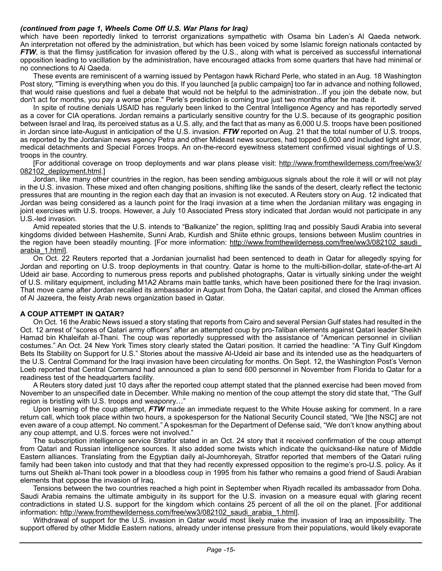#### *(continued from page 1, Wheels Come Off U.S. War Plans for Iraq)*

which have been reportedly linked to terrorist organizations sympathetic with Osama bin Laden's Al Qaeda network. An interpretation not offered by the administration, but which has been voiced by some Islamic foreign nationals contacted by *FTW*, is that the flimsy justification for invasion offered by the U.S., along with what is perceived as successful international opposition leading to vacillation by the administration, have encouraged attacks from some quarters that have had minimal or no connections to Al Qaeda.

These events are reminiscent of a warning issued by Pentagon hawk Richard Perle, who stated in an Aug. 18 Washington Post story, "Timing is everything when you do this. If you launched [a public campaign] too far in advance and nothing followed. that would raise questions and fuel a debate that would not be helpful to the administration...If you join the debate now, but don't act for months, you pay a worse price." Perle's prediction is coming true just two months after he made it.

In spite of routine denials USAID has regularly been linked to the Central Intelligence Agency and has reportedly served as a cover for CIA operations. Jordan remains a particularly sensitive country for the U.S. because of its geographic position between Israel and Iraq, its perceived status as a U.S. ally, and the fact that as many as 6,000 U.S. troops have been positioned in Jordan since late-August in anticipation of the U.S. invasion. *FTW* reported on Aug. 21 that the total number of U.S. troops, as reported by the Jordanian news agency Petra and other Mideast news sources, had topped 6,000 and included light armor, medical detachments and Special Forces troops. An on-the-record eyewitness statement confirmed visual sightings of U.S. troops in the country.

[For additional coverage on troop deployments and war plans please visit: [http://www.fromthewilderness.com/free/ww3/](http://www.fromthewilderness.com/free/ww3/082102_deployment.html) [082102\\_deployment.html](http://www.fromthewilderness.com/free/ww3/082102_deployment.html).]

Jordan, like many other countries in the region, has been sending ambiguous signals about the role it will or will not play in the U.S. invasion. These mixed and often changing positions, shifting like the sands of the desert, clearly reflect the tectonic pressures that are mounting in the region each day that an invasion is not executed. A Reuters story on Aug. 12 indicated that Jordan was being considered as a launch point for the Iraqi invasion at a time when the Jordanian military was engaging in joint exercises with U.S. troops. However, a July 10 Associated Press story indicated that Jordan would not participate in any U.S.-led invasion.

Amid repeated stories that the U.S. intends to "Balkanize" the region, splitting Iraq and possibly Saudi Arabia into several kingdoms divided between Hashemite, Sunni Arab, Kurdish and Shiite ethnic groups, tensions between Muslim countries in the region have been steadily mounting. [For more information: http://www.fromthewilderness.com/free/ww3/082102 saudi [arabia\\_1.html\]](http://www.fromthewilderness.com/free/ww3/082102_saudi_arabia_1.html).

On Oct. 22 Reuters reported that a Jordanian journalist had been sentenced to death in Qatar for allegedly spying for Jordan and reporting on U.S. troop deployments in that country. Qatar is home to the multi-billion-dollar, state-of-the-art Al Udeid air base. According to numerous press reports and published photographs, Qatar is virtually sinking under the weight of U.S. military equipment, including M1A2 Abrams main battle tanks, which have been positioned there for the Iraqi invasion. That move came after Jordan recalled its ambassador in August from Doha, the Qatari capital, and closed the Amman offices of Al Jazeera, the feisty Arab news organization based in Qatar.

#### **A COUP ATTEMPT IN QATAR?**

On Oct. 16 the Arabic News issued a story stating that reports from Cairo and several Persian Gulf states had resulted in the Oct. 12 arrest of "scores of Qatari army officers" after an attempted coup by pro-Taliban elements against Qatari leader Sheikh Hamad bin Khaleifah al-Thani. The coup was reportedly suppressed with the assistance of "American personnel in civilian costumes." An Oct. 24 New York Times story clearly stated the Qatari position. It carried the headline: "A Tiny Gulf Kingdom Bets Its Stability on Support for U.S." Stories about the massive Al-Udeid air base and its intended use as the headquarters of the U.S. Central Command for the Iraqi invasion have been circulating for months. On Sept. 12, the Washington Post's Vernon Loeb reported that Central Command had announced a plan to send 600 personnel in November from Florida to Qatar for a readiness test of the headquarters facility.

A Reuters story dated just 10 days after the reported coup attempt stated that the planned exercise had been moved from November to an unspecified date in December. While making no mention of the coup attempt the story did state that, "The Gulf region is bristling with U.S. troops and weaponry…"

Upon learning of the coup attempt, *FTW* made an immediate request to the White House asking for comment. In a rare return call, which took place within two hours, a spokesperson for the National Security Council stated, "We [the NSC] are not even aware of a coup attempt. No comment." A spokesman for the Department of Defense said, "We don't know anything about any coup attempt, and U.S. forces were not involved."

The subscription intelligence service Stratfor stated in an Oct. 24 story that it received confirmation of the coup attempt from Qatari and Russian intelligence sources. It also added some twists which indicate the quicksand-like nature of Middle Eastern alliances. Translating from the Egyptian daily al-Joumhoreyah, Stratfor reported that members of the Qatari ruling family had been taken into custody and that that they had recently expressed opposition to the regime's pro-U.S. policy. As it turns out Sheikh al-Thani took power in a bloodless coup in 1995 from his father who remains a good friend of Saudi Arabian elements that oppose the invasion of Iraq.

Tensions between the two countries reached a high point in September when Riyadh recalled its ambassador from Doha. Saudi Arabia remains the ultimate ambiguity in its support for the U.S. invasion on a measure equal with glaring recent contradictions in stated U.S. support for the kingdom which contains 25 percent of all the oil on the planet. [For additional information: [http://www.fromthewilderness.com/free/ww3/082102\\_saudi\\_arabia\\_1.html\]](http://www.fromthewilderness.com/free/ww3/082102_saudi_arabia_1.html).

Withdrawal of support for the U.S. invasion in Qatar would most likely make the invasion of Iraq an impossibility. The support offered by other Middle Eastern nations, already under intense pressure from their populations, would likely evaporate